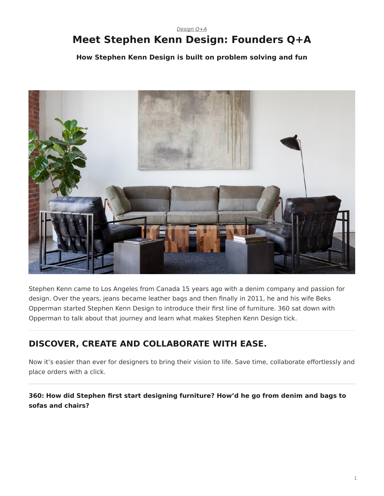## <span id="page-0-0"></span>*[Design Q+A](https://www.steelcase.com/research/topics/design-q-a/)* **Meet Stephen Kenn Design: Founders Q+A**

**How Stephen Kenn Design is built on problem solving and fun**



Stephen Kenn came to Los Angeles from Canada 15 years ago with a denim company and passion for design. Over the years, jeans became leather bags and then finally in 2011, he and his wife Beks Opperman started Stephen Kenn Design to introduce their first line of furniture. 360 sat down with Opperman to talk about that journey and learn what makes Stephen Kenn Design tick.

# **DISCOVER, CREATE AND COLLABORATE WITH EASE.**

Now it's easier than ever for designers to bring their vision to life. Save time, collaborate effortlessly and place orders with a click.

**360: How did Stephen first start designing furniture? How'd he go from denim and bags to sofas and chairs?**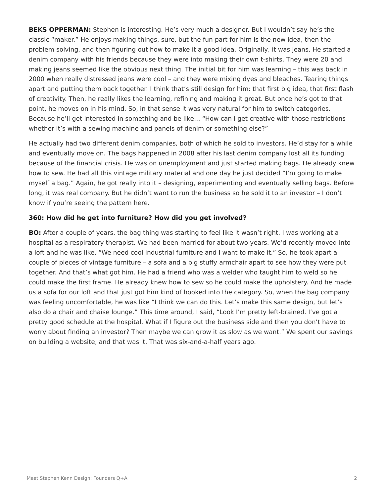**BEKS OPPERMAN:** Stephen is interesting. He's very much a designer. But I wouldn't say he's the classic "maker." He enjoys making things, sure, but the fun part for him is the new idea, then the problem solving, and then figuring out how to make it a good idea. Originally, it was jeans. He started a denim company with his friends because they were into making their own t-shirts. They were 20 and making jeans seemed like the obvious next thing. The initial bit for him was learning – this was back in 2000 when really distressed jeans were cool – and they were mixing dyes and bleaches. Tearing things apart and putting them back together. I think that's still design for him: that first big idea, that first flash of creativity. Then, he really likes the learning, refining and making it great. But once he's got to that point, he moves on in his mind. So, in that sense it was very natural for him to switch categories. Because he'll get interested in something and be like… "How can I get creative with those restrictions whether it's with a sewing machine and panels of denim or something else?"

He actually had two different denim companies, both of which he sold to investors. He'd stay for a while and eventually move on. The bags happened in 2008 after his last denim company lost all its funding because of the financial crisis. He was on unemployment and just started making bags. He already knew how to sew. He had all this vintage military material and one day he just decided "I'm going to make myself a bag." Again, he got really into it – designing, experimenting and eventually selling bags. Before long, it was real company. But he didn't want to run the business so he sold it to an investor – I don't know if you're seeing the pattern here.

### **360: How did he get into furniture? How did you get involved?**

**BO:** After a couple of years, the bag thing was starting to feel like it wasn't right. I was working at a hospital as a respiratory therapist. We had been married for about two years. We'd recently moved into a loft and he was like, "We need cool industrial furniture and I want to make it." So, he took apart a couple of pieces of vintage furniture – a sofa and a big stuffy armchair apart to see how they were put together. And that's what got him. He had a friend who was a welder who taught him to weld so he could make the first frame. He already knew how to sew so he could make the upholstery. And he made us a sofa for our loft and that just got him kind of hooked into the category. So, when the bag company was feeling uncomfortable, he was like "I think we can do this. Let's make this same design, but let's also do a chair and chaise lounge." This time around, I said, "Look I'm pretty left-brained. I've got a pretty good schedule at the hospital. What if I figure out the business side and then you don't have to worry about finding an investor? Then maybe we can grow it as slow as we want." We spent our savings on building a website, and that was it. That was six-and-a-half years ago.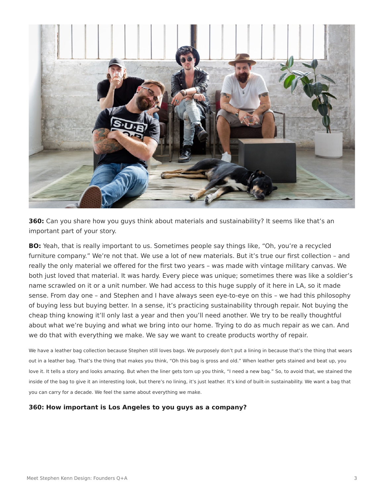

**360:** Can you share how you guys think about materials and sustainability? It seems like that's an important part of your story.

**BO:** Yeah, that is really important to us. Sometimes people say things like, "Oh, you're a recycled furniture company." We're not that. We use a lot of new materials. But it's true our first collection – and really the only material we offered for the first two years – was made with vintage military canvas. We both just loved that material. It was hardy. Every piece was unique; sometimes there was like a soldier's name scrawled on it or a unit number. We had access to this huge supply of it here in LA, so it made sense. From day one – and Stephen and I have always seen eye-to-eye on this – we had this philosophy of buying less but buying better. In a sense, it's practicing sustainability through repair. Not buying the cheap thing knowing it'll only last a year and then you'll need another. We try to be really thoughtful about what we're buying and what we bring into our home. Trying to do as much repair as we can. And we do that with everything we make. We say we want to create products worthy of repair.

We have a leather bag collection because Stephen still loves bags. We purposely don't put a lining in because that's the thing that wears out in a leather bag. That's the thing that makes you think, "Oh this bag is gross and old." When leather gets stained and beat up, you love it. It tells a story and looks amazing. But when the liner gets torn up you think, "I need a new bag." So, to avoid that, we stained the inside of the bag to give it an interesting look, but there's no lining, it's just leather. It's kind of built-in sustainability. We want a bag that you can carry for a decade. We feel the same about everything we make.

#### **360: How important is Los Angeles to you guys as a company?**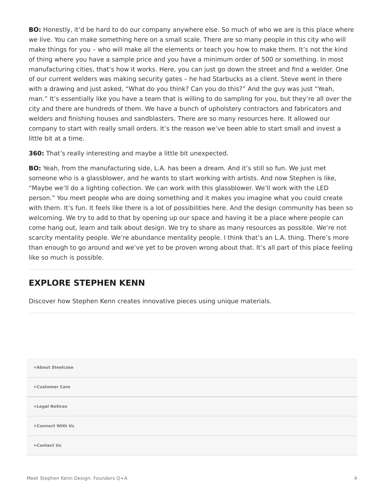**BO:** Honestly, it'd be hard to do our company anywhere else. So much of who we are is this place where we live. You can make something here on a small scale. There are so many people in this city who will make things for you – who will make all the elements or teach you how to make them. It's not the kind of thing where you have a sample price and you have a minimum order of 500 or something. In most manufacturing cities, that's how it works. Here, you can just go down the street and find a welder. One of our current welders was making security gates – he had Starbucks as a client. Steve went in there with a drawing and just asked, "What do you think? Can you do this?" And the guy was just "Yeah, man." It's essentially like you have a team that is willing to do sampling for you, but they're all over the city and there are hundreds of them. We have a bunch of upholstery contractors and fabricators and welders and finishing houses and sandblasters. There are so many resources here. It allowed our company to start with really small orders. It's the reason we've been able to start small and invest a little bit at a time.

**360:** That's really interesting and maybe a little bit unexpected.

**BO:** Yeah, from the manufacturing side, L.A. has been a dream. And it's still so fun. We just met someone who is a glassblower, and he wants to start working with artists. And now Stephen is like, "Maybe we'll do a lighting collection. We can work with this glassblower. We'll work with the LED person." You meet people who are doing something and it makes you imagine what you could create with them. It's fun. It feels like there is a lot of possibilities here. And the design community has been so welcoming. We try to add to that by opening up our space and having it be a place where people can come hang out, learn and talk about design. We try to share as many resources as possible. We're not scarcity mentality people. We're abundance mentality people. I think that's an L.A. thing. There's more than enough to go around and we've yet to be proven wrong about that. It's all part of this place feeling like so much is possible.

## **EXPLORE STEPHEN KENN**

Discover how Stephen Kenn creates innovative pieces using unique materials.

| +About Steelcase |
|------------------|
| +Customer Care   |
| +Legal Notices   |
| +Connect With Us |
| +Contact Us      |